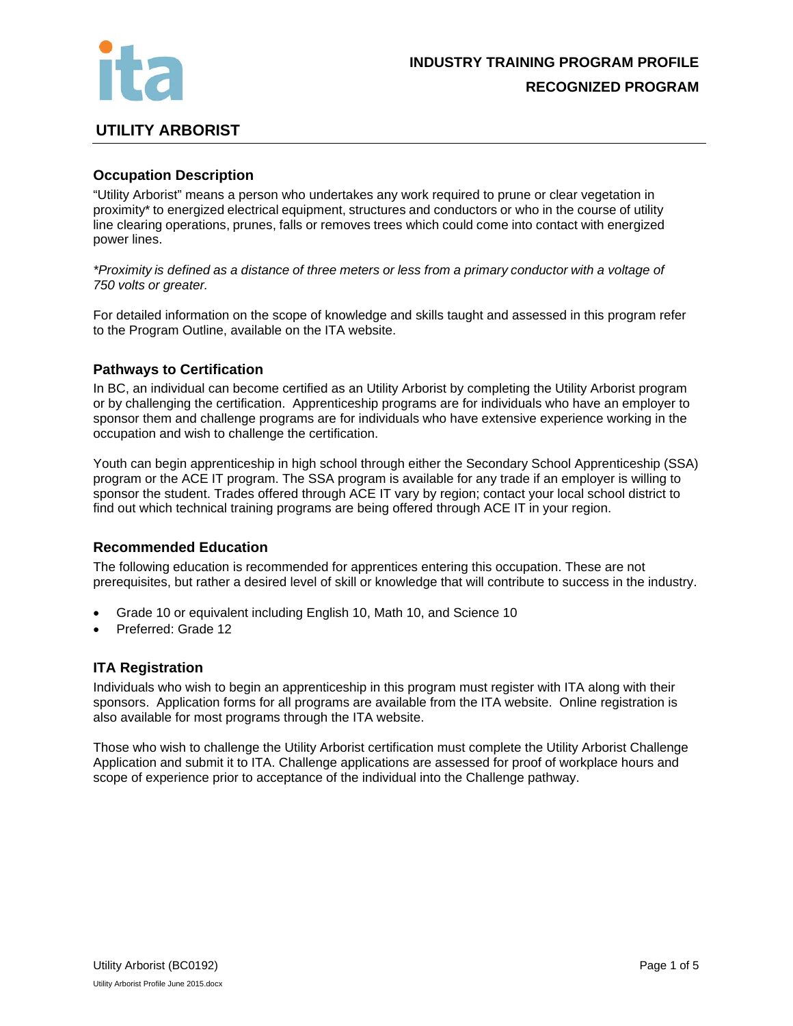

# **UTILITY ARBORIST**

# **Occupation Description**

"Utility Arborist" means a person who undertakes any work required to prune or clear vegetation in proximity\* to energized electrical equipment, structures and conductors or who in the course of utility line clearing operations, prunes, falls or removes trees which could come into contact with energized power lines.

*\*Proximity is defined as a distance of three meters or less from a primary conductor with a voltage of 750 volts or greater.* 

For detailed information on the scope of knowledge and skills taught and assessed in this program refer to the Program Outline, available on the ITA website.

# **Pathways to Certification**

In BC, an individual can become certified as an Utility Arborist by completing the Utility Arborist program or by challenging the certification. Apprenticeship programs are for individuals who have an employer to sponsor them and challenge programs are for individuals who have extensive experience working in the occupation and wish to challenge the certification.

Youth can begin apprenticeship in high school through either the Secondary School Apprenticeship (SSA) program or the ACE IT program. The SSA program is available for any trade if an employer is willing to sponsor the student. Trades offered through ACE IT vary by region; contact your local school district to find out which technical training programs are being offered through ACE IT in your region.

# **Recommended Education**

The following education is recommended for apprentices entering this occupation. These are not prerequisites, but rather a desired level of skill or knowledge that will contribute to success in the industry.

- Grade 10 or equivalent including English 10, Math 10, and Science 10
- Preferred: Grade 12

### **ITA Registration**

Individuals who wish to begin an apprenticeship in this program must register with ITA along with their sponsors. Application forms for all programs are available from the ITA website. Online registration is also available for most programs through the ITA website.

Those who wish to challenge the Utility Arborist certification must complete the Utility Arborist Challenge Application and submit it to ITA. Challenge applications are assessed for proof of workplace hours and scope of experience prior to acceptance of the individual into the Challenge pathway.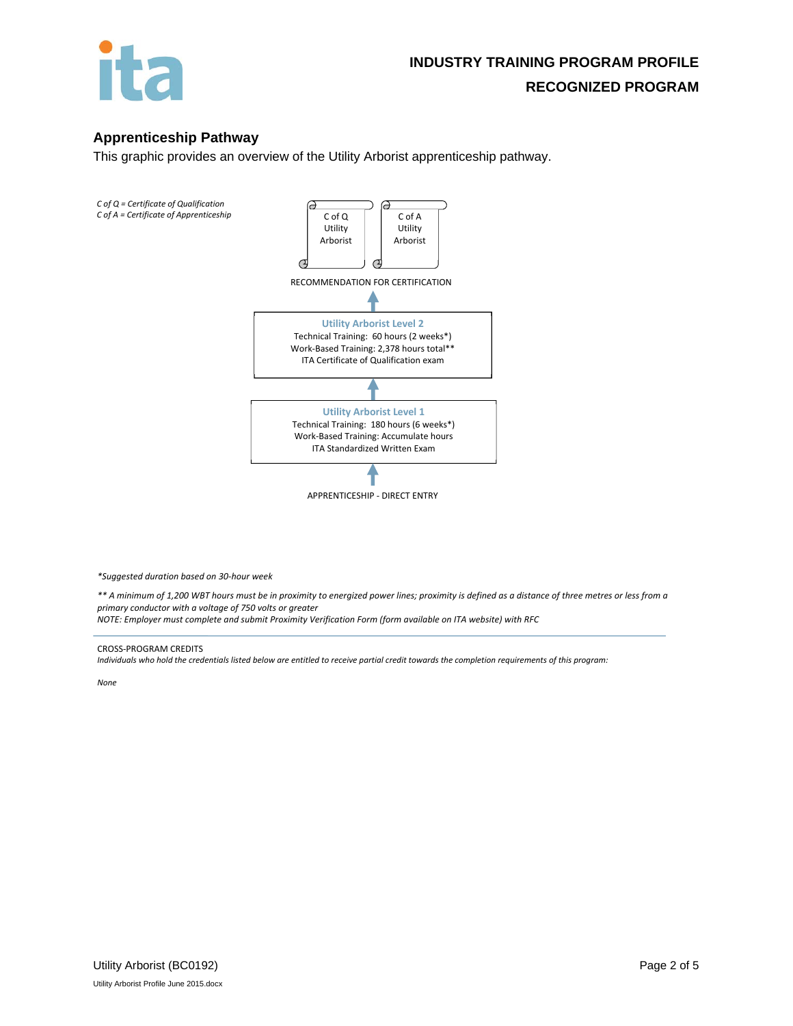

# **Apprenticeship Pathway**

This graphic provides an overview of the Utility Arborist apprenticeship pathway.



*\*Suggested duration based on 30‐hour week*

\*\* A minimum of 1,200 WBT hours must be in proximity to energized power lines; proximity is defined as a distance of three metres or less from a *primary conductor with a voltage of 750 volts or greater*

*NOTE: Employer must complete and submit Proximity Verification Form (form available on ITA website) with RFC*

#### CROSS‐PROGRAM CREDITS

Individuals who hold the credentials listed below are entitled to receive partial credit towards the completion requirements of this program:

*None*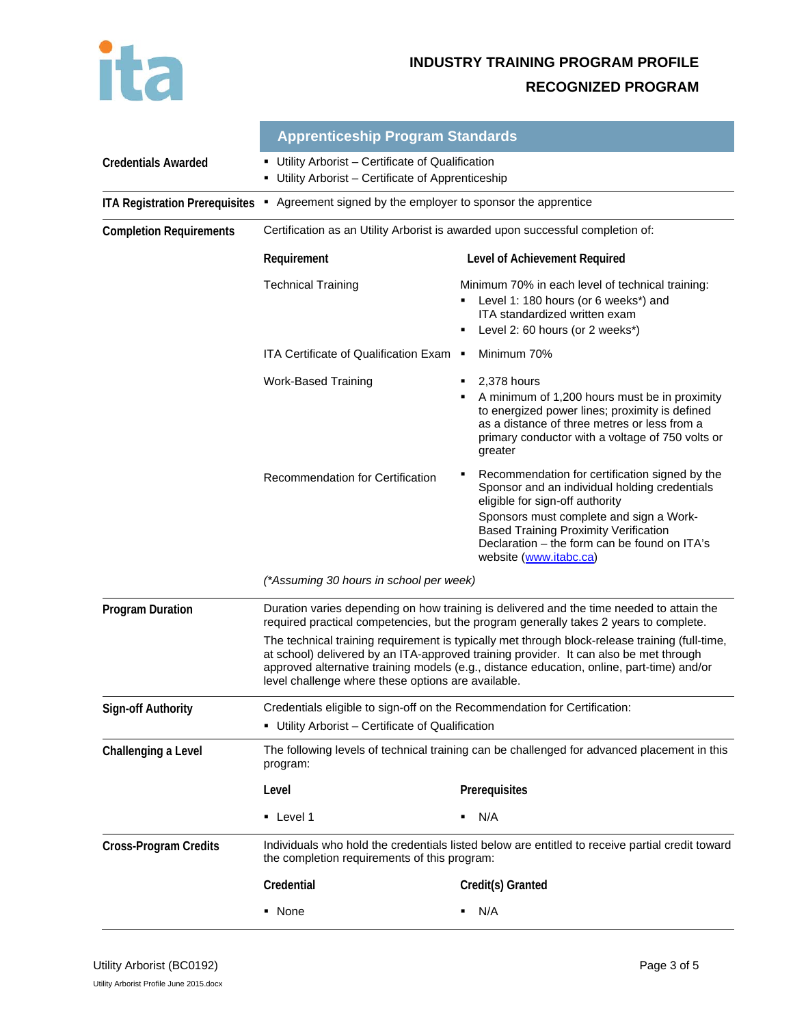

# **INDUSTRY TRAINING PROGRAM PROFILE RECOGNIZED PROGRAM**

|                                       | <b>Apprenticeship Program Standards</b>                                                                                                                                                                                                                                                                                                    |                                                                                                                                                                                                                                                                                                              |  |
|---------------------------------------|--------------------------------------------------------------------------------------------------------------------------------------------------------------------------------------------------------------------------------------------------------------------------------------------------------------------------------------------|--------------------------------------------------------------------------------------------------------------------------------------------------------------------------------------------------------------------------------------------------------------------------------------------------------------|--|
| <b>Credentials Awarded</b>            | Utility Arborist - Certificate of Qualification<br>٠<br>Utility Arborist - Certificate of Apprenticeship<br>٠                                                                                                                                                                                                                              |                                                                                                                                                                                                                                                                                                              |  |
| <b>ITA Registration Prerequisites</b> | Agreement signed by the employer to sponsor the apprentice<br>٠                                                                                                                                                                                                                                                                            |                                                                                                                                                                                                                                                                                                              |  |
| <b>Completion Requirements</b>        | Certification as an Utility Arborist is awarded upon successful completion of:                                                                                                                                                                                                                                                             |                                                                                                                                                                                                                                                                                                              |  |
|                                       | Requirement                                                                                                                                                                                                                                                                                                                                | Level of Achievement Required                                                                                                                                                                                                                                                                                |  |
|                                       | <b>Technical Training</b>                                                                                                                                                                                                                                                                                                                  | Minimum 70% in each level of technical training:<br>Level 1: 180 hours (or 6 weeks*) and<br>ITA standardized written exam<br>Level 2: 60 hours (or 2 weeks*)<br>٠                                                                                                                                            |  |
|                                       | ITA Certificate of Qualification Exam ■                                                                                                                                                                                                                                                                                                    | Minimum 70%                                                                                                                                                                                                                                                                                                  |  |
|                                       | <b>Work-Based Training</b>                                                                                                                                                                                                                                                                                                                 | 2,378 hours<br>٠<br>A minimum of 1,200 hours must be in proximity<br>٠<br>to energized power lines; proximity is defined<br>as a distance of three metres or less from a<br>primary conductor with a voltage of 750 volts or<br>greater                                                                      |  |
|                                       | Recommendation for Certification                                                                                                                                                                                                                                                                                                           | Recommendation for certification signed by the<br>٠<br>Sponsor and an individual holding credentials<br>eligible for sign-off authority<br>Sponsors must complete and sign a Work-<br><b>Based Training Proximity Verification</b><br>Declaration - the form can be found on ITA's<br>website (www.itabc.ca) |  |
|                                       | (*Assuming 30 hours in school per week)                                                                                                                                                                                                                                                                                                    |                                                                                                                                                                                                                                                                                                              |  |
| <b>Program Duration</b>               | Duration varies depending on how training is delivered and the time needed to attain the<br>required practical competencies, but the program generally takes 2 years to complete.                                                                                                                                                          |                                                                                                                                                                                                                                                                                                              |  |
|                                       | The technical training requirement is typically met through block-release training (full-time,<br>at school) delivered by an ITA-approved training provider. It can also be met through<br>approved alternative training models (e.g., distance education, online, part-time) and/or<br>level challenge where these options are available. |                                                                                                                                                                                                                                                                                                              |  |
| <b>Sign-off Authority</b>             | Credentials eligible to sign-off on the Recommendation for Certification:                                                                                                                                                                                                                                                                  |                                                                                                                                                                                                                                                                                                              |  |
|                                       | • Utility Arborist - Certificate of Qualification                                                                                                                                                                                                                                                                                          |                                                                                                                                                                                                                                                                                                              |  |
| Challenging a Level                   | The following levels of technical training can be challenged for advanced placement in this<br>program:                                                                                                                                                                                                                                    |                                                                                                                                                                                                                                                                                                              |  |
|                                       | Level                                                                                                                                                                                                                                                                                                                                      | Prerequisites                                                                                                                                                                                                                                                                                                |  |
|                                       | • Level 1                                                                                                                                                                                                                                                                                                                                  | N/A                                                                                                                                                                                                                                                                                                          |  |
| <b>Cross-Program Credits</b>          | Individuals who hold the credentials listed below are entitled to receive partial credit toward<br>the completion requirements of this program:                                                                                                                                                                                            |                                                                                                                                                                                                                                                                                                              |  |
|                                       | Credential                                                                                                                                                                                                                                                                                                                                 | Credit(s) Granted                                                                                                                                                                                                                                                                                            |  |
|                                       | • None                                                                                                                                                                                                                                                                                                                                     | N/A<br>٠                                                                                                                                                                                                                                                                                                     |  |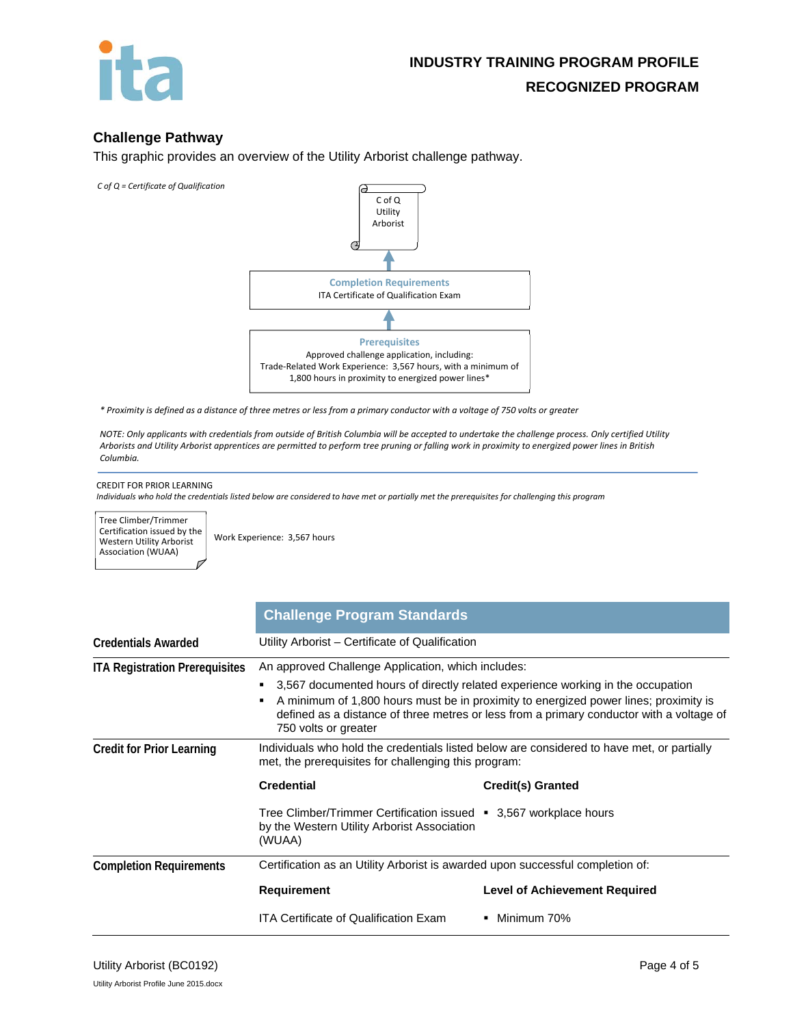

# **Challenge Pathway**

This graphic provides an overview of the Utility Arborist challenge pathway.

*C of Q = Certificate of Qualification*



\* Proximity is defined as a distance of three metres or less from a primary conductor with a voltage of 750 volts or greater

NOTE: Only applicants with credentials from outside of British Columbia will be accepted to undertake the challenge process. Only certified Utility Arborists and Utility Arborist apprentices are permitted to perform tree pruning or falling work in proximity to energized power lines in British *Columbia.*

#### CREDIT FOR PRIOR LEARNING

Individuals who hold the credentials listed below are considered to have met or partially met the prerequisites for challenging this program

Tree Climber/Trimmer Certification issued by the Western Utility Arborist Association (WUAA)

Work Experience: 3,567 hours

|                                       | <b>Challenge Program Standards</b>                                                                                                                                                                                                                                                          |                                      |  |
|---------------------------------------|---------------------------------------------------------------------------------------------------------------------------------------------------------------------------------------------------------------------------------------------------------------------------------------------|--------------------------------------|--|
| <b>Credentials Awarded</b>            | Utility Arborist – Certificate of Qualification                                                                                                                                                                                                                                             |                                      |  |
| <b>ITA Registration Prerequisites</b> | An approved Challenge Application, which includes:                                                                                                                                                                                                                                          |                                      |  |
|                                       | 3,567 documented hours of directly related experience working in the occupation<br>A minimum of 1,800 hours must be in proximity to energized power lines; proximity is<br>defined as a distance of three metres or less from a primary conductor with a voltage of<br>750 volts or greater |                                      |  |
| <b>Credit for Prior Learning</b>      | Individuals who hold the credentials listed below are considered to have met, or partially<br>met, the prerequisites for challenging this program:                                                                                                                                          |                                      |  |
|                                       | <b>Credential</b>                                                                                                                                                                                                                                                                           | <b>Credit(s) Granted</b>             |  |
|                                       | Tree Climber/Trimmer Certification issued • 3,567 workplace hours<br>by the Western Utility Arborist Association<br>(WUAA)                                                                                                                                                                  |                                      |  |
| <b>Completion Requirements</b>        | Certification as an Utility Arborist is awarded upon successful completion of:                                                                                                                                                                                                              |                                      |  |
|                                       | Requirement                                                                                                                                                                                                                                                                                 | <b>Level of Achievement Required</b> |  |
|                                       | <b>ITA Certificate of Qualification Exam</b>                                                                                                                                                                                                                                                | ■ Minimum 70%                        |  |